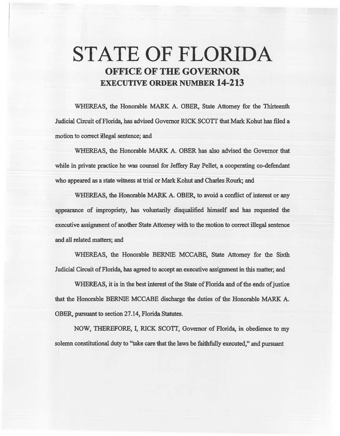# STATE OF FLORIDA OFFICE OF THE GOVERNOR EXECUTIVE ORDER NUMBER 14-213

WHEREAS, the Honorable MARK A. OBER, State Attorney for the Thirteeath. Judicial Circuit of Florida, has advised Governor RICK SCOTT that Mark Kohut has filed a motion to correct illegal sentence; and

WHEREAS, the Honorable MARK A. OBER has also advised the Governor that while in private practice he was counsel for Jeffery Ray Pellet, a cooperating co-defendant who appeared as a state witness at trial or Mark Kohut and Charles Rourk; and

WHEREAS, the Honorable MARK A. OBER, to avoid a conflict of interest or any appearance of impropriety, has voluntarily disqualified himself and has requested the executive assignment of another State Attorney with to the motion to correct illegal sentence and all related matters; and

WHEREAS, the Honorable BERNlE MCCABE, State Attorney for the Sixth Judicial Circuit of Florida, has agreed to accept an executive assignment in this matter; and

WHEREAS, it is in the best interest of the State of Florida and of the ends of justice that the Honorable BERNIE MCCABE discharge the duties of the Honorable MARK A. OBER, pursuant to section 27.14, Florida Statutes.

NOW, THEREFORE, I, RICK SCOTT, Governor of Florida, in. obedience to my solemn constitutional duty to "take care that the laws be faithfully executed," and pursuant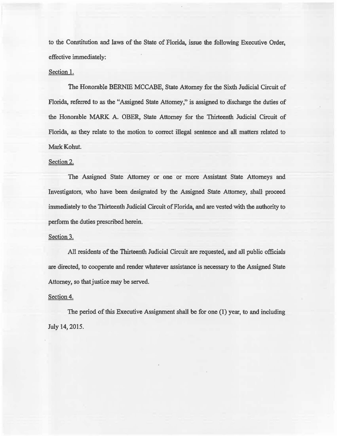to the Constitution and laws of the State of Florida, issue the following Executive Order, effective immediately:

## Section 1.

The Honorable BERNIE MCCABE, State Attorney for the Sixth Judicial Circuit of Florida, referred to as the "Assigned State Attorney," is assigned to discharge the duties of the Honorable MARK A. OBER, State Attorney for the Thirteenth Judicial Circuit of Florida, as they relate to the motion to correct illegal sentence and all matters related to Mark Kohut.

### Section 2.

The Assigned State Attorney or one or more Assistant State Attorneys and Investigators, who have been designated by the Assigned State Attorney, shall proceed immediately to the Thirteenth Judicial Circuit of Florida, and are vested with the authority to perfonn the duties prescribed herein.

#### Section 3.

All residents of the Thirteenth Judicial Circuit are requested, and all public officials are directed, to cooperate and render whatever assistance is necessary to the Assigned State Attorney, so that justice may be served.

#### Section 4.

The period of this Executive Assignment shall be for one (1) year, to and including July 14, 2015.